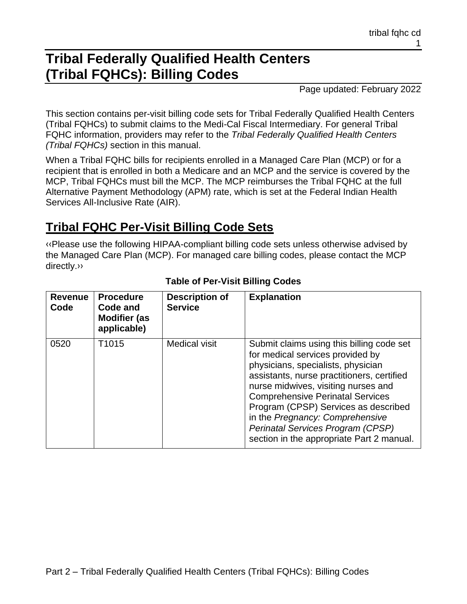# **Tribal Federally Qualified Health Centers (Tribal FQHCs): Billing Codes**

Page updated: February 2022

This section contains per-visit billing code sets for Tribal Federally Qualified Health Centers (Tribal FQHCs) to submit claims to the Medi-Cal Fiscal Intermediary. For general Tribal FQHC information, providers may refer to the *Tribal Federally Qualified Health Centers (Tribal FQHCs)* section in this manual.

When a Tribal FQHC bills for recipients enrolled in a Managed Care Plan (MCP) or for a recipient that is enrolled in both a Medicare and an MCP and the service is covered by the MCP, Tribal FQHCs must bill the MCP. The MCP reimburses the Tribal FQHC at the full Alternative Payment Methodology (APM) rate, which is set at the Federal Indian Health Services All-Inclusive Rate (AIR).

#### **Tribal FQHC Per-Visit Billing Code Sets**

[‹‹P](#page-11-0)lease use the following HIPAA-compliant billing code sets unless otherwise advised by the Managed Care Plan (MCP). For managed care billing codes, please contact the MCP directly[.››](#page-11-1)

| <b>Revenue</b><br>Code | <b>Procedure</b><br>Code and<br><b>Modifier (as</b><br>applicable) | <b>Description of</b><br><b>Service</b> | <b>Explanation</b>                                                                                                                                                                                                                                                                                                                                                                                               |
|------------------------|--------------------------------------------------------------------|-----------------------------------------|------------------------------------------------------------------------------------------------------------------------------------------------------------------------------------------------------------------------------------------------------------------------------------------------------------------------------------------------------------------------------------------------------------------|
| 0520                   | T <sub>1015</sub>                                                  | Medical visit                           | Submit claims using this billing code set<br>for medical services provided by<br>physicians, specialists, physician<br>assistants, nurse practitioners, certified<br>nurse midwives, visiting nurses and<br><b>Comprehensive Perinatal Services</b><br>Program (CPSP) Services as described<br>in the Pregnancy: Comprehensive<br>Perinatal Services Program (CPSP)<br>section in the appropriate Part 2 manual. |

#### **Table of Per-Visit Billing Codes**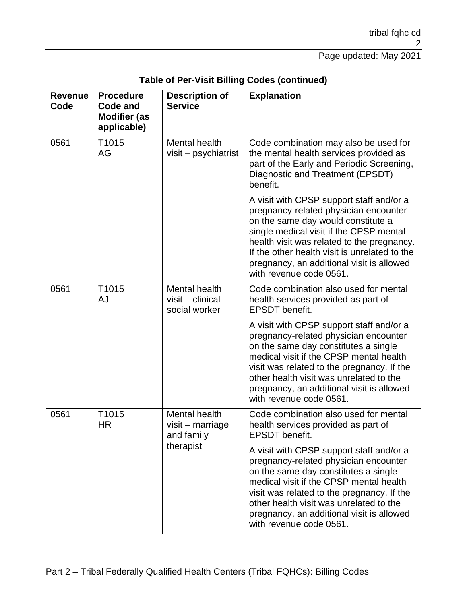| <b>Revenue</b><br>Code | <b>Procedure</b><br><b>Code and</b><br><b>Modifier (as</b><br>applicable) | <b>Description of</b><br><b>Service</b>                        | <b>Explanation</b>                                                                                                                                                                                                                                                                                                                        |
|------------------------|---------------------------------------------------------------------------|----------------------------------------------------------------|-------------------------------------------------------------------------------------------------------------------------------------------------------------------------------------------------------------------------------------------------------------------------------------------------------------------------------------------|
| 0561                   | T1015<br>AG                                                               | Mental health<br>visit – psychiatrist                          | Code combination may also be used for<br>the mental health services provided as<br>part of the Early and Periodic Screening,<br>Diagnostic and Treatment (EPSDT)<br>benefit.                                                                                                                                                              |
|                        |                                                                           |                                                                | A visit with CPSP support staff and/or a<br>pregnancy-related physician encounter<br>on the same day would constitute a<br>single medical visit if the CPSP mental<br>health visit was related to the pregnancy.<br>If the other health visit is unrelated to the<br>pregnancy, an additional visit is allowed<br>with revenue code 0561. |
| 0561                   | T1015<br>AJ                                                               | Mental health<br>$visit$ – clinical<br>social worker           | Code combination also used for mental<br>health services provided as part of<br><b>EPSDT</b> benefit.                                                                                                                                                                                                                                     |
|                        |                                                                           |                                                                | A visit with CPSP support staff and/or a<br>pregnancy-related physician encounter<br>on the same day constitutes a single<br>medical visit if the CPSP mental health<br>visit was related to the pregnancy. If the<br>other health visit was unrelated to the<br>pregnancy, an additional visit is allowed<br>with revenue code 0561.     |
| 0561                   | T1015<br><b>HR</b>                                                        | Mental health<br>$visit$ – marriage<br>and family<br>therapist | Code combination also used for mental<br>health services provided as part of<br><b>EPSDT</b> benefit.                                                                                                                                                                                                                                     |
|                        |                                                                           |                                                                | A visit with CPSP support staff and/or a<br>pregnancy-related physician encounter<br>on the same day constitutes a single<br>medical visit if the CPSP mental health<br>visit was related to the pregnancy. If the<br>other health visit was unrelated to the<br>pregnancy, an additional visit is allowed<br>with revenue code 0561.     |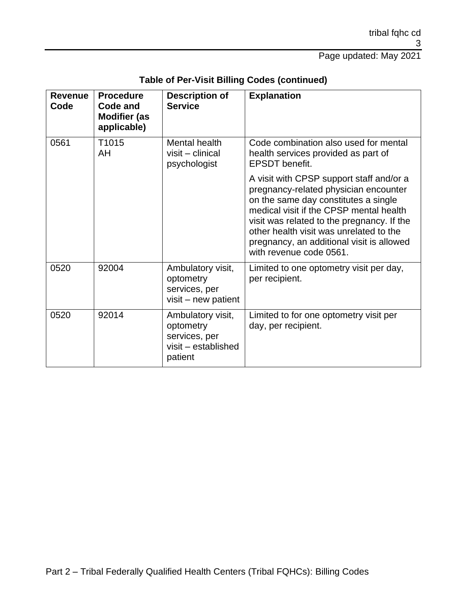| <b>Revenue</b><br>Code | <b>Procedure</b><br>Code and<br><b>Modifier (as</b><br>applicable) | <b>Description of</b><br><b>Service</b>                                           | <b>Explanation</b>                                                                                                                                                                                                                                                                                                                    |
|------------------------|--------------------------------------------------------------------|-----------------------------------------------------------------------------------|---------------------------------------------------------------------------------------------------------------------------------------------------------------------------------------------------------------------------------------------------------------------------------------------------------------------------------------|
| 0561                   | T1015<br>AH                                                        | Mental health<br>visit – clinical<br>psychologist                                 | Code combination also used for mental<br>health services provided as part of<br><b>EPSDT</b> benefit.                                                                                                                                                                                                                                 |
|                        |                                                                    |                                                                                   | A visit with CPSP support staff and/or a<br>pregnancy-related physician encounter<br>on the same day constitutes a single<br>medical visit if the CPSP mental health<br>visit was related to the pregnancy. If the<br>other health visit was unrelated to the<br>pregnancy, an additional visit is allowed<br>with revenue code 0561. |
| 0520                   | 92004                                                              | Ambulatory visit,<br>optometry<br>services, per<br>visit - new patient            | Limited to one optometry visit per day,<br>per recipient.                                                                                                                                                                                                                                                                             |
| 0520                   | 92014                                                              | Ambulatory visit,<br>optometry<br>services, per<br>visit - established<br>patient | Limited to for one optometry visit per<br>day, per recipient.                                                                                                                                                                                                                                                                         |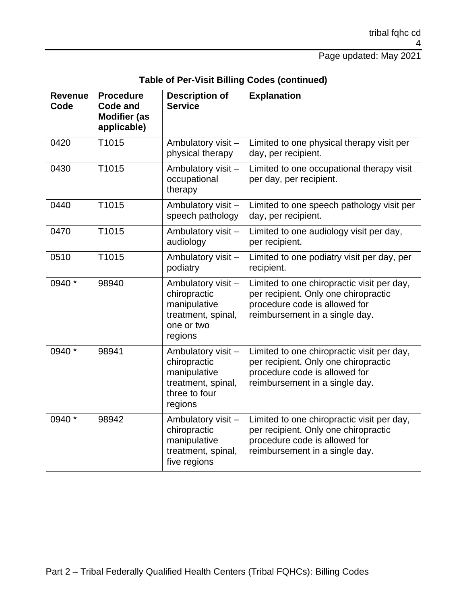| Table of Per-Visit Billing Codes (continued) |  |  |
|----------------------------------------------|--|--|
|----------------------------------------------|--|--|

| <b>Revenue</b><br>Code | <b>Procedure</b><br><b>Code and</b><br><b>Modifier (as</b><br>applicable) | <b>Description of</b><br><b>Service</b>                                                              | <b>Explanation</b>                                                                                                                                    |
|------------------------|---------------------------------------------------------------------------|------------------------------------------------------------------------------------------------------|-------------------------------------------------------------------------------------------------------------------------------------------------------|
| 0420                   | T1015                                                                     | Ambulatory visit -<br>physical therapy                                                               | Limited to one physical therapy visit per<br>day, per recipient.                                                                                      |
| 0430                   | T1015                                                                     | Ambulatory visit-<br>occupational<br>therapy                                                         | Limited to one occupational therapy visit<br>per day, per recipient.                                                                                  |
| 0440                   | T1015                                                                     | Ambulatory visit-<br>speech pathology                                                                | Limited to one speech pathology visit per<br>day, per recipient.                                                                                      |
| 0470                   | T1015                                                                     | Ambulatory visit -<br>audiology                                                                      | Limited to one audiology visit per day,<br>per recipient.                                                                                             |
| 0510                   | T1015                                                                     | Ambulatory visit -<br>podiatry                                                                       | Limited to one podiatry visit per day, per<br>recipient.                                                                                              |
| 0940 *                 | 98940                                                                     | Ambulatory visit -<br>chiropractic<br>manipulative<br>treatment, spinal,<br>one or two<br>regions    | Limited to one chiropractic visit per day,<br>per recipient. Only one chiropractic<br>procedure code is allowed for<br>reimbursement in a single day. |
| 0940 *                 | 98941                                                                     | Ambulatory visit -<br>chiropractic<br>manipulative<br>treatment, spinal,<br>three to four<br>regions | Limited to one chiropractic visit per day,<br>per recipient. Only one chiropractic<br>procedure code is allowed for<br>reimbursement in a single day. |
| 0940 *                 | 98942                                                                     | Ambulatory visit -<br>chiropractic<br>manipulative<br>treatment, spinal,<br>five regions             | Limited to one chiropractic visit per day,<br>per recipient. Only one chiropractic<br>procedure code is allowed for<br>reimbursement in a single day. |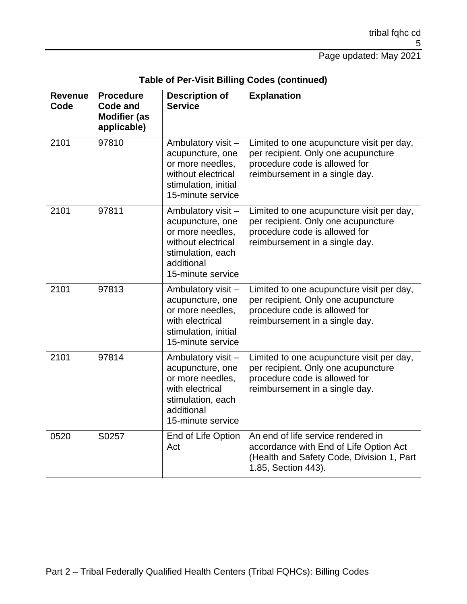| <b>Revenue</b><br>Code | <b>Procedure</b><br><b>Code and</b><br><b>Modifier (as</b><br>applicable) | <b>Description of</b><br><b>Service</b>                                                                                                  | <b>Explanation</b>                                                                                                                                  |
|------------------------|---------------------------------------------------------------------------|------------------------------------------------------------------------------------------------------------------------------------------|-----------------------------------------------------------------------------------------------------------------------------------------------------|
| 2101                   | 97810                                                                     | Ambulatory visit -<br>acupuncture, one<br>or more needles,<br>without electrical<br>stimulation, initial<br>15-minute service            | Limited to one acupuncture visit per day,<br>per recipient. Only one acupuncture<br>procedure code is allowed for<br>reimbursement in a single day. |
| 2101                   | 97811                                                                     | Ambulatory visit -<br>acupuncture, one<br>or more needles,<br>without electrical<br>stimulation, each<br>additional<br>15-minute service | Limited to one acupuncture visit per day,<br>per recipient. Only one acupuncture<br>procedure code is allowed for<br>reimbursement in a single day. |
| 2101                   | 97813                                                                     | Ambulatory visit -<br>acupuncture, one<br>or more needles,<br>with electrical<br>stimulation, initial<br>15-minute service               | Limited to one acupuncture visit per day,<br>per recipient. Only one acupuncture<br>procedure code is allowed for<br>reimbursement in a single day. |
| 2101                   | 97814                                                                     | Ambulatory visit-<br>acupuncture, one<br>or more needles,<br>with electrical<br>stimulation, each<br>additional<br>15-minute service     | Limited to one acupuncture visit per day,<br>per recipient. Only one acupuncture<br>procedure code is allowed for<br>reimbursement in a single day. |
| 0520                   | S0257                                                                     | End of Life Option<br>Act                                                                                                                | An end of life service rendered in<br>accordance with End of Life Option Act<br>(Health and Safety Code, Division 1, Part<br>1.85, Section 443).    |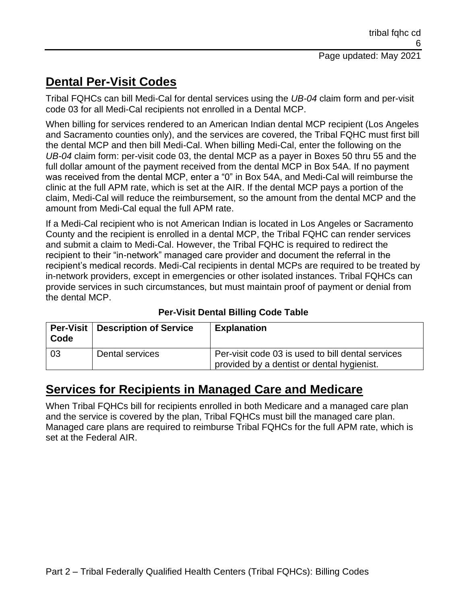### **Dental Per-Visit Codes**

Tribal FQHCs can bill Medi-Cal for dental services using the *UB-04* claim form and per-visit code 03 for all Medi-Cal recipients not enrolled in a Dental MCP.

When billing for services rendered to an American Indian dental MCP recipient (Los Angeles and Sacramento counties only), and the services are covered, the Tribal FQHC must first bill the dental MCP and then bill Medi-Cal. When billing Medi-Cal, enter the following on the *UB-04* claim form: per-visit code 03, the dental MCP as a payer in Boxes 50 thru 55 and the full dollar amount of the payment received from the dental MCP in Box 54A. If no payment was received from the dental MCP, enter a "0" in Box 54A, and Medi-Cal will reimburse the clinic at the full APM rate, which is set at the AIR. If the dental MCP pays a portion of the claim, Medi-Cal will reduce the reimbursement, so the amount from the dental MCP and the amount from Medi-Cal equal the full APM rate.

If a Medi-Cal recipient who is not American Indian is located in Los Angeles or Sacramento County and the recipient is enrolled in a dental MCP, the Tribal FQHC can render services and submit a claim to Medi-Cal. However, the Tribal FQHC is required to redirect the recipient to their "in-network" managed care provider and document the referral in the recipient's medical records. Medi-Cal recipients in dental MCPs are required to be treated by in-network providers, except in emergencies or other isolated instances. Tribal FQHCs can provide services in such circumstances, but must maintain proof of payment or denial from the dental MCP.

| Code | <b>Per-Visit   Description of Service</b> | <b>Explanation</b>                                                                              |
|------|-------------------------------------------|-------------------------------------------------------------------------------------------------|
| -03  | Dental services                           | Per-visit code 03 is used to bill dental services<br>provided by a dentist or dental hygienist. |

**Per-Visit Dental Billing Code Table**

#### **Services for Recipients in Managed Care and Medicare**

When Tribal FQHCs bill for recipients enrolled in both Medicare and a managed care plan and the service is covered by the plan, Tribal FQHCs must bill the managed care plan. Managed care plans are required to reimburse Tribal FQHCs for the full APM rate, which is set at the Federal AIR.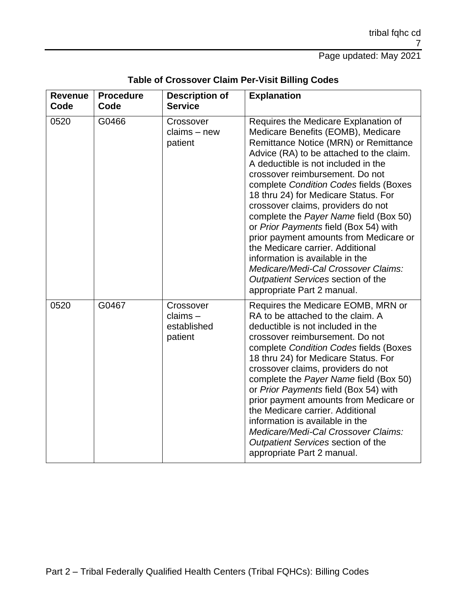| <b>Revenue</b><br>Code | <b>Procedure</b><br>Code | <b>Description of</b><br><b>Service</b>           | <b>Explanation</b>                                                                                                                                                                                                                                                                                                                                                                                                                                                                                                                                                                                                                                                               |
|------------------------|--------------------------|---------------------------------------------------|----------------------------------------------------------------------------------------------------------------------------------------------------------------------------------------------------------------------------------------------------------------------------------------------------------------------------------------------------------------------------------------------------------------------------------------------------------------------------------------------------------------------------------------------------------------------------------------------------------------------------------------------------------------------------------|
| 0520                   | G0466                    | Crossover<br>$clains - new$<br>patient            | Requires the Medicare Explanation of<br>Medicare Benefits (EOMB), Medicare<br>Remittance Notice (MRN) or Remittance<br>Advice (RA) to be attached to the claim.<br>A deductible is not included in the<br>crossover reimbursement. Do not<br>complete Condition Codes fields (Boxes<br>18 thru 24) for Medicare Status. For<br>crossover claims, providers do not<br>complete the Payer Name field (Box 50)<br>or Prior Payments field (Box 54) with<br>prior payment amounts from Medicare or<br>the Medicare carrier. Additional<br>information is available in the<br>Medicare/Medi-Cal Crossover Claims:<br>Outpatient Services section of the<br>appropriate Part 2 manual. |
| 0520                   | G0467                    | Crossover<br>$clains -$<br>established<br>patient | Requires the Medicare EOMB, MRN or<br>RA to be attached to the claim. A<br>deductible is not included in the<br>crossover reimbursement. Do not<br>complete Condition Codes fields (Boxes<br>18 thru 24) for Medicare Status. For<br>crossover claims, providers do not<br>complete the Payer Name field (Box 50)<br>or Prior Payments field (Box 54) with<br>prior payment amounts from Medicare or<br>the Medicare carrier. Additional<br>information is available in the<br>Medicare/Medi-Cal Crossover Claims:<br>Outpatient Services section of the<br>appropriate Part 2 manual.                                                                                           |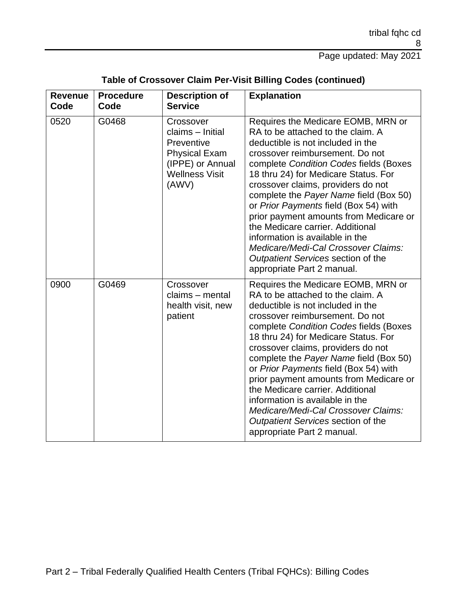| Table of Crossover Claim Per-Visit Billing Codes (continued) |  |  |  |  |  |  |
|--------------------------------------------------------------|--|--|--|--|--|--|
|--------------------------------------------------------------|--|--|--|--|--|--|

| <b>Revenue</b><br>Code | <b>Procedure</b><br>Code | <b>Description of</b><br><b>Service</b>                                                                                   | <b>Explanation</b>                                                                                                                                                                                                                                                                                                                                                                                                                                                                                                                                                                     |
|------------------------|--------------------------|---------------------------------------------------------------------------------------------------------------------------|----------------------------------------------------------------------------------------------------------------------------------------------------------------------------------------------------------------------------------------------------------------------------------------------------------------------------------------------------------------------------------------------------------------------------------------------------------------------------------------------------------------------------------------------------------------------------------------|
| 0520                   | G0468                    | Crossover<br>claims - Initial<br>Preventive<br><b>Physical Exam</b><br>(IPPE) or Annual<br><b>Wellness Visit</b><br>(AWV) | Requires the Medicare EOMB, MRN or<br>RA to be attached to the claim. A<br>deductible is not included in the<br>crossover reimbursement. Do not<br>complete Condition Codes fields (Boxes<br>18 thru 24) for Medicare Status. For<br>crossover claims, providers do not<br>complete the Payer Name field (Box 50)<br>or Prior Payments field (Box 54) with<br>prior payment amounts from Medicare or<br>the Medicare carrier. Additional<br>information is available in the<br>Medicare/Medi-Cal Crossover Claims:<br>Outpatient Services section of the<br>appropriate Part 2 manual. |
| 0900                   | G0469                    | Crossover<br>claims - mental<br>health visit, new<br>patient                                                              | Requires the Medicare EOMB, MRN or<br>RA to be attached to the claim. A<br>deductible is not included in the<br>crossover reimbursement. Do not<br>complete Condition Codes fields (Boxes<br>18 thru 24) for Medicare Status. For<br>crossover claims, providers do not<br>complete the Payer Name field (Box 50)<br>or Prior Payments field (Box 54) with<br>prior payment amounts from Medicare or<br>the Medicare carrier. Additional<br>information is available in the<br>Medicare/Medi-Cal Crossover Claims:<br>Outpatient Services section of the<br>appropriate Part 2 manual. |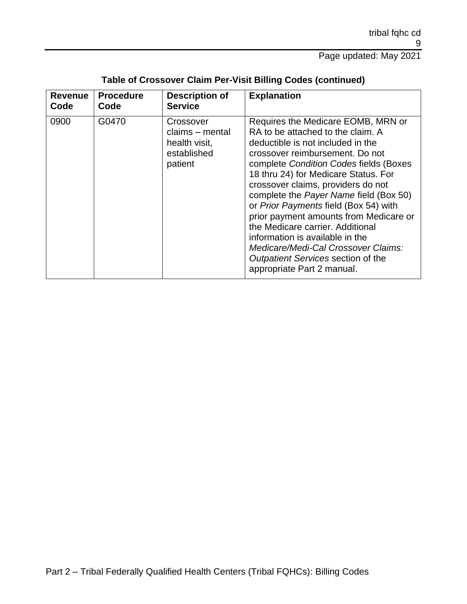| <b>Revenue</b> | <b>Procedure</b> | <b>Description of</b>                                                   | <b>Explanation</b>                                                                                                                                                                                                                                                                                                                                                                                                                                                                                                                                                                     |
|----------------|------------------|-------------------------------------------------------------------------|----------------------------------------------------------------------------------------------------------------------------------------------------------------------------------------------------------------------------------------------------------------------------------------------------------------------------------------------------------------------------------------------------------------------------------------------------------------------------------------------------------------------------------------------------------------------------------------|
| Code           | Code             | <b>Service</b>                                                          |                                                                                                                                                                                                                                                                                                                                                                                                                                                                                                                                                                                        |
| 0900           | G0470            | Crossover<br>claims – mental<br>health visit,<br>established<br>patient | Requires the Medicare EOMB, MRN or<br>RA to be attached to the claim. A<br>deductible is not included in the<br>crossover reimbursement. Do not<br>complete Condition Codes fields (Boxes<br>18 thru 24) for Medicare Status. For<br>crossover claims, providers do not<br>complete the Payer Name field (Box 50)<br>or Prior Payments field (Box 54) with<br>prior payment amounts from Medicare or<br>the Medicare carrier. Additional<br>information is available in the<br>Medicare/Medi-Cal Crossover Claims:<br>Outpatient Services section of the<br>appropriate Part 2 manual. |

#### **Table of Crossover Claim Per-Visit Billing Codes (continued)**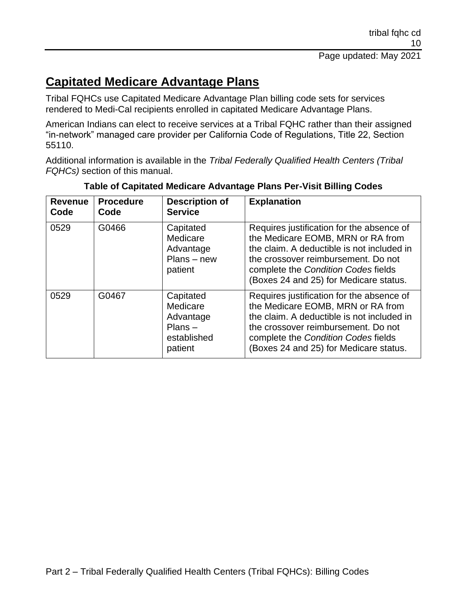# **Capitated Medicare Advantage Plans**

Tribal FQHCs use Capitated Medicare Advantage Plan billing code sets for services rendered to Medi-Cal recipients enrolled in capitated Medicare Advantage Plans.

American Indians can elect to receive services at a Tribal FQHC rather than their assigned "in-network" managed care provider per California Code of Regulations, Title 22, Section 55110.

Additional information is available in the *Tribal Federally Qualified Health Centers (Tribal FQHCs)* section of this manual.

| <b>Revenue</b><br>Code | <b>Procedure</b><br>Code | <b>Description of</b><br><b>Service</b>                                   | <b>Explanation</b>                                                                                                                                                                                                                                   |
|------------------------|--------------------------|---------------------------------------------------------------------------|------------------------------------------------------------------------------------------------------------------------------------------------------------------------------------------------------------------------------------------------------|
| 0529                   | G0466                    | Capitated<br>Medicare<br>Advantage<br>$PlanS - new$<br>patient            | Requires justification for the absence of<br>the Medicare EOMB, MRN or RA from<br>the claim. A deductible is not included in<br>the crossover reimbursement. Do not<br>complete the Condition Codes fields<br>(Boxes 24 and 25) for Medicare status. |
| 0529                   | G0467                    | Capitated<br>Medicare<br>Advantage<br>$PlanS -$<br>established<br>patient | Requires justification for the absence of<br>the Medicare EOMB, MRN or RA from<br>the claim. A deductible is not included in<br>the crossover reimbursement. Do not<br>complete the Condition Codes fields<br>(Boxes 24 and 25) for Medicare status. |

**Table of Capitated Medicare Advantage Plans Per-Visit Billing Codes**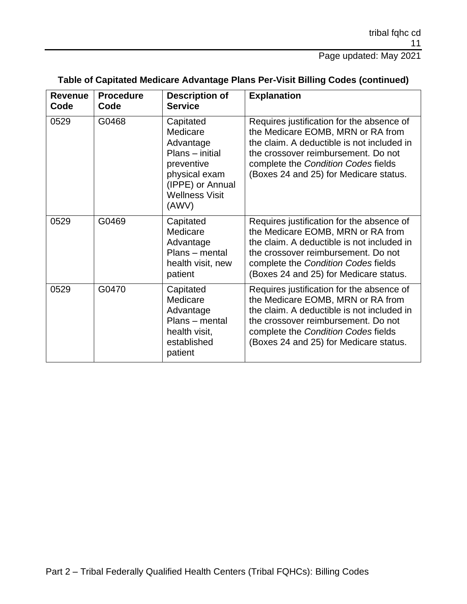| <b>Revenue</b><br>Code | <b>Procedure</b><br>Code | <b>Description of</b><br><b>Service</b>                                                                                                    | <b>Explanation</b>                                                                                                                                                                                                                                   |
|------------------------|--------------------------|--------------------------------------------------------------------------------------------------------------------------------------------|------------------------------------------------------------------------------------------------------------------------------------------------------------------------------------------------------------------------------------------------------|
| 0529                   | G0468                    | Capitated<br>Medicare<br>Advantage<br>Plans - initial<br>preventive<br>physical exam<br>(IPPE) or Annual<br><b>Wellness Visit</b><br>(AWV) | Requires justification for the absence of<br>the Medicare EOMB, MRN or RA from<br>the claim. A deductible is not included in<br>the crossover reimbursement. Do not<br>complete the Condition Codes fields<br>(Boxes 24 and 25) for Medicare status. |
| 0529                   | G0469                    | Capitated<br>Medicare<br>Advantage<br>Plans - mental<br>health visit, new<br>patient                                                       | Requires justification for the absence of<br>the Medicare EOMB, MRN or RA from<br>the claim. A deductible is not included in<br>the crossover reimbursement. Do not<br>complete the Condition Codes fields<br>(Boxes 24 and 25) for Medicare status. |
| 0529                   | G0470                    | Capitated<br>Medicare<br>Advantage<br>Plans - mental<br>health visit,<br>established<br>patient                                            | Requires justification for the absence of<br>the Medicare EOMB, MRN or RA from<br>the claim. A deductible is not included in<br>the crossover reimbursement. Do not<br>complete the Condition Codes fields<br>(Boxes 24 and 25) for Medicare status. |